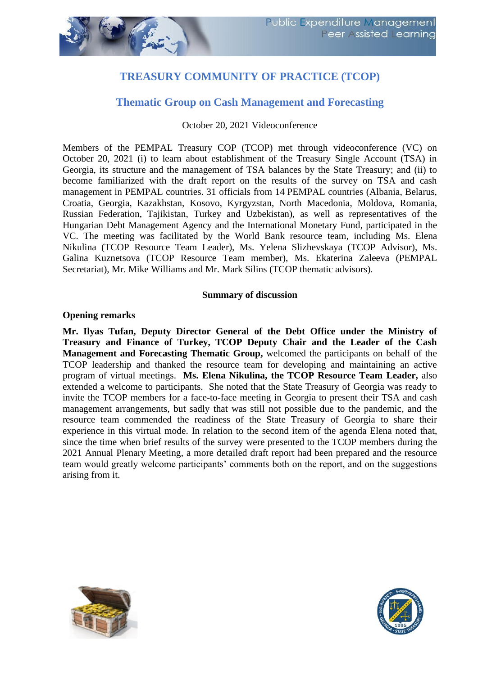# **TREASURY COMMUNITY OF PRACTICE (TCOP)**

## **Thematic Group on Cash Management and Forecasting**

October 20, 2021 Videoconference

Members of the PEMPAL Treasury COP (TCOP) met through videoconference (VC) on October 20, 2021 (i) to learn about establishment of the Treasury Single Account (TSA) in Georgia, its structure and the management of TSA balances by the State Treasury; and (ii) to become familiarized with the draft report on the results of the survey on TSA and cash management in PEMPAL countries. 31 officials from 14 PEMPAL countries (Albania, Belarus, Croatia, Georgia, Kazakhstan, Kosovo, Kyrgyzstan, North Macedonia, Moldova, Romania, Russian Federation, Tajikistan, Turkey and Uzbekistan), as well as representatives of the Hungarian Debt Management Agency and the International Monetary Fund, participated in the VC. The meeting was facilitated by the World Bank resource team, including Ms. Elena Nikulina (TCOP Resource Team Leader), Ms. Yelena Slizhevskaya (TCOP Advisor), Ms. Galina Kuznetsova (TCOP Resource Team member), Ms. Ekaterina Zaleeva (PEMPAL Secretariat), Mr. Mike Williams and Mr. Mark Silins (TCOP thematic advisors).

#### **Summary of discussion**

#### **Opening remarks**

**Mr. Ilyas Tufan, Deputy Director General of the Debt Office under the Ministry of Treasury and Finance of Turkey, TCOP Deputy Chair and the Leader of the Cash Management and Forecasting Thematic Group,** welcomed the participants on behalf of the TCOP leadership and thanked the resource team for developing and maintaining an active program of virtual meetings. **Ms. Еlena Nikulina, the TCOP Resource Team Leader,** also extended a welcome to participants. She noted that the State Treasury of Georgia was ready to invite the TCOP members for a face-to-face meeting in Georgia to present their TSA and cash management arrangements, but sadly that was still not possible due to the pandemic, and the resource team commended the readiness of the State Treasury of Georgia to share their experience in this virtual mode. In relation to the second item of the agenda Elena noted that, since the time when brief results of the survey were presented to the TCOP members during the 2021 Annual Plenary Meeting, a more detailed draft report had been prepared and the resource team would greatly welcome participants' comments both on the report, and on the suggestions arising from it.



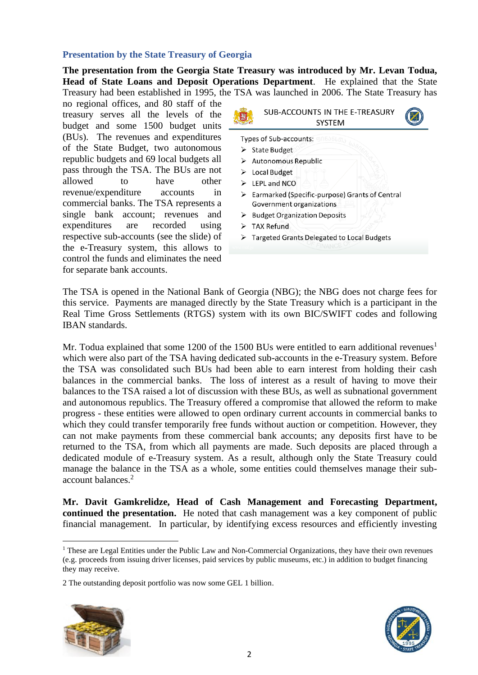### **Presentation by the State Treasury of Georgia**

**The presentation from the Georgia State Treasury was introduced by Mr. Levan Todua, Head of State Loans and Deposit Operations Department**. He explained that the State Treasury had been established in 1995, the TSA was launched in 2006. The State Treasury has

no regional offices, and 80 staff of the treasury serves all the levels of the budget and some 1500 budget units (BUs). The revenues and expenditures of the State Budget, two autonomous republic budgets and 69 local budgets all pass through the TSA. The BUs are not allowed to have other revenue/expenditure accounts in commercial banks. The TSA represents a single bank account; revenues and expenditures are recorded using respective sub-accounts (see the slide) of the e-Treasury system, this allows to control the funds and eliminates the need for separate bank accounts.



The TSA is opened in the National Bank of Georgia (NBG); the NBG does not charge fees for this service. Payments are managed directly by the State Treasury which is a participant in the Real Time Gross Settlements (RTGS) system with its own BIC/SWIFT codes and following IBAN standards.

Mr. Todua explained that some 1200 of the 1500 BUs were entitled to earn additional revenues<sup>1</sup> which were also part of the TSA having dedicated sub-accounts in the e-Treasury system. Before the TSA was consolidated such BUs had been able to earn interest from holding their cash balances in the commercial banks. The loss of interest as a result of having to move their balances to the TSA raised a lot of discussion with these BUs, as well as subnational government and autonomous republics. The Treasury offered a compromise that allowed the reform to make progress - these entities were allowed to open ordinary current accounts in commercial banks to which they could transfer temporarily free funds without auction or competition. However, they can not make payments from these commercial bank accounts; any deposits first have to be returned to the TSA, from which all payments are made. Such deposits are placed through a dedicated module of e-Treasury system. As a result, although only the State Treasury could manage the balance in the TSA as a whole, some entities could themselves manage their subaccount balances.<sup>2</sup>

**Mr. Davit Gamkrelidze, Head of Cash Management and Forecasting Department, continued the presentation.** He noted that cash management was a key component of public financial management. In particular, by identifying excess resources and efficiently investing

<sup>2</sup> The outstanding deposit portfolio was now some GEL 1 billion.





<sup>&</sup>lt;sup>1</sup> These are Legal Entities under the Public Law and Non-Commercial Organizations, they have their own revenues (e.g. proceeds from issuing driver licenses, paid services by public museums, etc.) in addition to budget financing they may receive.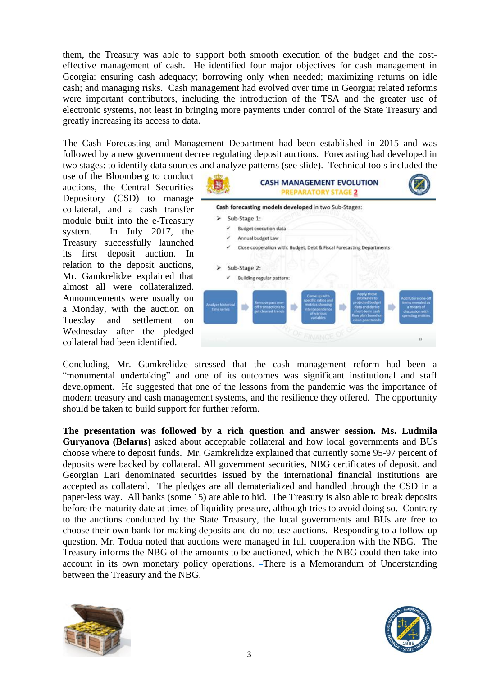them, the Treasury was able to support both smooth execution of the budget and the costeffective management of cash. He identified four major objectives for cash management in Georgia: ensuring cash adequacy; borrowing only when needed; maximizing returns on idle cash; and managing risks. Cash management had evolved over time in Georgia; related reforms were important contributors, including the introduction of the TSA and the greater use of electronic systems, not least in bringing more payments under control of the State Treasury and greatly increasing its access to data.

The Cash Forecasting and Management Department had been established in 2015 and was followed by a new government decree regulating deposit auctions. Forecasting had developed in two stages: to identify data sources and analyze patterns (see slide). Technical tools included the

use of the Bloomberg to conduct auctions, the Central Securities Depository (CSD) to manage collateral, and a cash transfer module built into the e-Treasury system. In July 2017, the Treasury successfully launched its first deposit auction. In relation to the deposit auctions, Mr. Gamkrelidze explained that almost all were collateralized. Announcements were usually on a Monday, with the auction on Tuesday and settlement on Wednesday after the pledged collateral had been identified.



Concluding, Mr. Gamkrelidze stressed that the cash management reform had been a "monumental undertaking" and one of its outcomes was significant institutional and staff development. He suggested that one of the lessons from the pandemic was the importance of modern treasury and cash management systems, and the resilience they offered. The opportunity should be taken to build support for further reform.

**The presentation was followed by a rich question and answer session. Ms. Ludmila Guryanova (Belarus)** asked about acceptable collateral and how local governments and BUs choose where to deposit funds. Mr. Gamkrelidze explained that currently some 95-97 percent of deposits were backed by collateral. All government securities, NBG certificates of deposit, and Georgian Lari denominated securities issued by the international financial institutions are accepted as collateral. The pledges are all dematerialized and handled through the CSD in a paper-less way. All banks (some 15) are able to bid. The Treasury is also able to break deposits before the maturity date at times of liquidity pressure, although tries to avoid doing so. Contrary to the auctions conducted by the State Treasury, the local governments and BUs are free to choose their own bank for making deposits and do not use auctions. Responding to a follow-up question, Mr. Todua noted that auctions were managed in full cooperation with the NBG. The Treasury informs the NBG of the amounts to be auctioned, which the NBG could then take into account in its own monetary policy operations. There is a Memorandum of Understanding between the Treasury and the NBG.



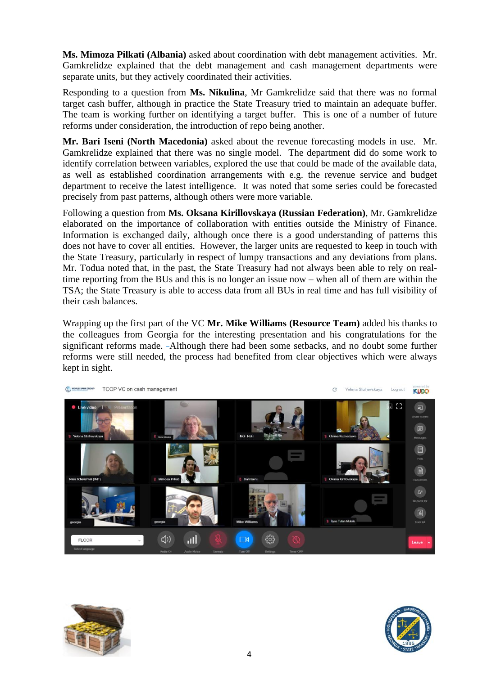**Ms. Mimoza Pilkati (Albania)** asked about coordination with debt management activities. Mr. Gamkrelidze explained that the debt management and cash management departments were separate units, but they actively coordinated their activities.

Responding to a question from **Ms. Nikulina**, Mr Gamkrelidze said that there was no formal target cash buffer, although in practice the State Treasury tried to maintain an adequate buffer. The team is working further on identifying a target buffer. This is one of a number of future reforms under consideration, the introduction of repo being another.

**Mr. Bari Iseni (North Macedonia)** asked about the revenue forecasting models in use. Mr. Gamkrelidze explained that there was no single model. The department did do some work to identify correlation between variables, explored the use that could be made of the available data, as well as established coordination arrangements with e.g. the revenue service and budget department to receive the latest intelligence. It was noted that some series could be forecasted precisely from past patterns, although others were more variable.

Following a question from **Ms. Oksana Kirillovskaya (Russian Federation)**, Mr. Gamkrelidze elaborated on the importance of collaboration with entities outside the Ministry of Finance. Information is exchanged daily, although once there is a good understanding of patterns this does not have to cover all entities. However, the larger units are requested to keep in touch with the State Treasury, particularly in respect of lumpy transactions and any deviations from plans. Mr. Todua noted that, in the past, the State Treasury had not always been able to rely on realtime reporting from the BUs and this is no longer an issue now – when all of them are within the TSA; the State Treasury is able to access data from all BUs in real time and has full visibility of their cash balances.

Wrapping up the first part of the VC **Mr. Mike Williams (Resource Team)** added his thanks to the colleagues from Georgia for the interesting presentation and his congratulations for the significant reforms made. Although there had been some setbacks, and no doubt some further reforms were still needed, the process had benefited from clear objectives which were always kept in sight.





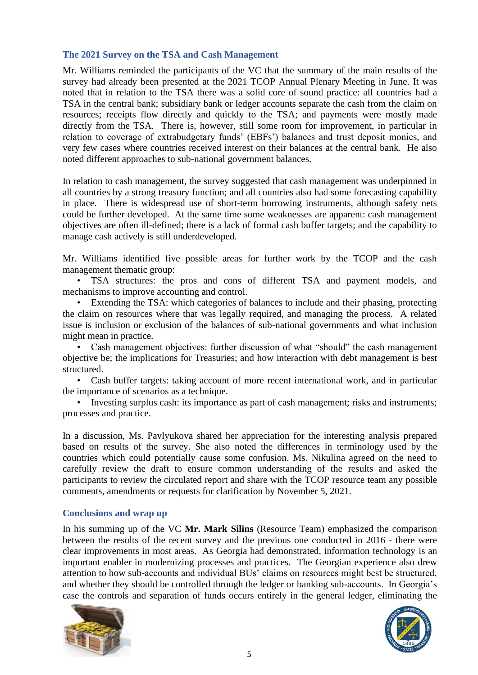#### **The 2021 Survey on the TSA and Cash Management**

Mr. Williams reminded the participants of the VC that the summary of the main results of the survey had already been presented at the 2021 TCOP Annual Plenary Meeting in June. It was noted that in relation to the TSA there was a solid core of sound practice: all countries had a TSA in the central bank; subsidiary bank or ledger accounts separate the cash from the claim on resources; receipts flow directly and quickly to the TSA; and payments were mostly made directly from the TSA. There is, however, still some room for improvement, in particular in relation to coverage of extrabudgetary funds' (EBFs') balances and trust deposit monies, and very few cases where countries received interest on their balances at the central bank. He also noted different approaches to sub-national government balances.

In relation to cash management, the survey suggested that cash management was underpinned in all countries by a strong treasury function; and all countries also had some forecasting capability in place. There is widespread use of short-term borrowing instruments, although safety nets could be further developed. At the same time some weaknesses are apparent: cash management objectives are often ill-defined; there is a lack of formal cash buffer targets; and the capability to manage cash actively is still underdeveloped.

Mr. Williams identified five possible areas for further work by the TCOP and the cash management thematic group:

• TSA structures: the pros and cons of different TSA and payment models, and mechanisms to improve accounting and control.

Extending the TSA: which categories of balances to include and their phasing, protecting the claim on resources where that was legally required, and managing the process. A related issue is inclusion or exclusion of the balances of sub-national governments and what inclusion might mean in practice.

• Cash management objectives: further discussion of what "should" the cash management objective be; the implications for Treasuries; and how interaction with debt management is best structured.

• Cash buffer targets: taking account of more recent international work, and in particular the importance of scenarios as a technique.

• Investing surplus cash: its importance as part of cash management; risks and instruments; processes and practice.

In a discussion, Ms. Pavlyukova shared her appreciation for the interesting analysis prepared based on results of the survey. She also noted the differences in terminology used by the countries which could potentially cause some confusion. Ms. Nikulina agreed on the need to carefully review the draft to ensure common understanding of the results and asked the participants to review the circulated report and share with the TCOP resource team any possible comments, amendments or requests for clarification by November 5, 2021.

#### **Conclusions and wrap up**

In his summing up of the VC **Mr. Mark Silins** (Resource Team) emphasized the comparison between the results of the recent survey and the previous one conducted in 2016 - there were clear improvements in most areas. As Georgia had demonstrated, information technology is an important enabler in modernizing processes and practices. The Georgian experience also drew attention to how sub-accounts and individual BUs' claims on resources might best be structured, and whether they should be controlled through the ledger or banking sub-accounts. In Georgia's case the controls and separation of funds occurs entirely in the general ledger, eliminating the